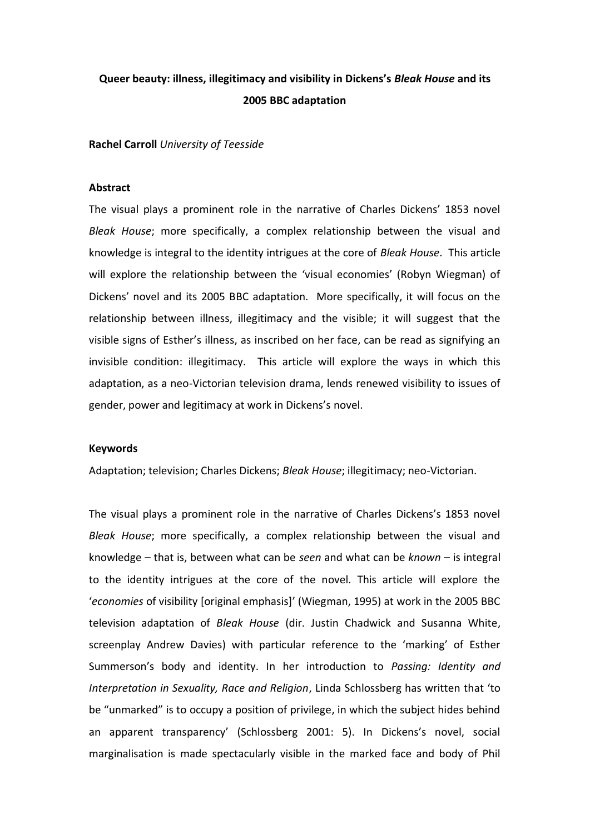# **Queer beauty: illness, illegitimacy and visibility in Dickens's** *Bleak House* **and its 2005 BBC adaptation**

# **Rachel Carroll** *University of Teesside*

# **Abstract**

The visual plays a prominent role in the narrative of Charles Dickens' 1853 novel *Bleak House*; more specifically, a complex relationship between the visual and knowledge is integral to the identity intrigues at the core of *Bleak House*. This article will explore the relationship between the 'visual economies' (Robyn Wiegman) of Dickens' novel and its 2005 BBC adaptation. More specifically, it will focus on the relationship between illness, illegitimacy and the visible; it will suggest that the visible signs of Esther's illness, as inscribed on her face, can be read as signifying an invisible condition: illegitimacy. This article will explore the ways in which this adaptation, as a neo-Victorian television drama, lends renewed visibility to issues of gender, power and legitimacy at work in Dickens's novel.

# **Keywords**

Adaptation; television; Charles Dickens; *Bleak House*; illegitimacy; neo-Victorian.

The visual plays a prominent role in the narrative of Charles Dickens's 1853 novel *Bleak House*; more specifically, a complex relationship between the visual and knowledge – that is, between what can be *seen* and what can be *known* – is integral to the identity intrigues at the core of the novel. This article will explore the 'economies of visibility [original emphasis]' (Wiegman, 1995) at work in the 2005 BBC television adaptation of *Bleak House* (dir. Justin Chadwick and Susanna White, screenplay Andrew Davies) with particular reference to the 'marking' of Esther Summerson's body and identity. In her introduction to *Passing: Identity and Interpretation in Sexuality, Race and Religion*, Linda Schlossberg has written that 'to be "unmarked" is to occupy a position of privilege, in which the subject hides behind an apparent transparency' (Schlossberg 2001: 5). In Dickens's novel, social marginalisation is made spectacularly visible in the marked face and body of Phil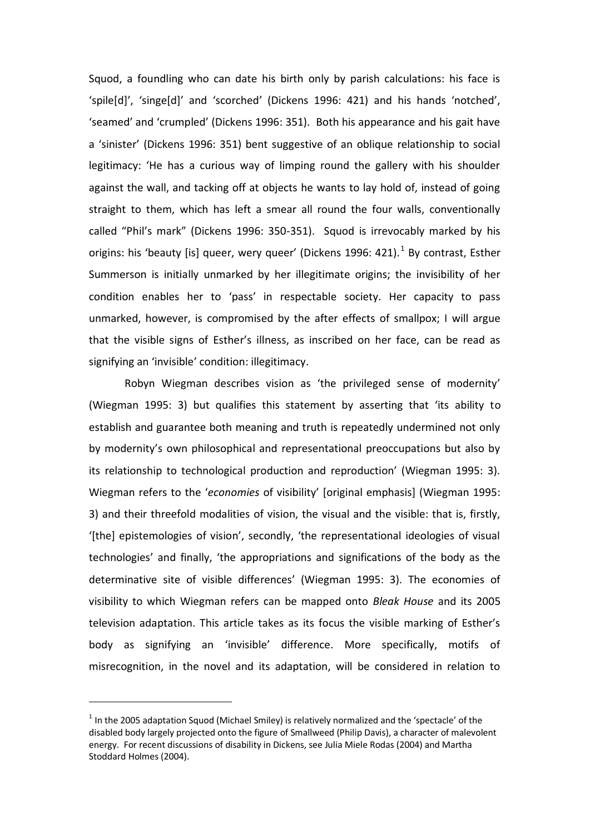Squod, a foundling who can date his birth only by parish calculations: his face is 'spile[d]', 'singe[d]' and 'scorched' (Dickens 1996: 421) and his hands 'notched', 'seamed' and 'crumpled' (Dickens 1996: 351). Both his appearance and his gait have a 'sinister' (Dickens 1996: 351) bent suggestive of an oblique relationship to social legitimacy: 'He has a curious way of limping round the gallery with his shoulder against the wall, and tacking off at objects he wants to lay hold of, instead of going straight to them, which has left a smear all round the four walls, conventionally called "Phil's mark" (Dickens 1996: 350-351). Squod is irrevocably marked by his origins: his 'beauty [is] queer, wery queer' (Dickens 1996: 421). $^1$  By contrast, Esther Summerson is initially unmarked by her illegitimate origins; the invisibility of her condition enables her to 'pass' in respectable society. Her capacity to pass unmarked, however, is compromised by the after effects of smallpox; I will argue that the visible signs of Esther's illness, as inscribed on her face, can be read as signifying an 'invisible' condition: illegitimacy.

Robyn Wiegman describes vision as 'the privileged sense of modernity' (Wiegman 1995: 3) but qualifies this statement by asserting that 'its ability to establish and guarantee both meaning and truth is repeatedly undermined not only by modernity's own philosophical and representational preoccupations but also by its relationship to technological production and reproduction' (Wiegman 1995: 3). Wiegman refers to the 'economies of visibility' [original emphasis] (Wiegman 1995: 3) and their threefold modalities of vision, the visual and the visible: that is, firstly, '[the] epistemologies of vision', secondly, 'the representational ideologies of visual technologies' and finally, 'the appropriations and significations of the body as the determinative site of visible differences' (Wiegman 1995: 3). The economies of visibility to which Wiegman refers can be mapped onto *Bleak House* and its 2005 television adaptation. This article takes as its focus the visible marking of Esther's body as signifying an 'invisible' difference. More specifically, motifs of misrecognition, in the novel and its adaptation, will be considered in relation to

 $<sup>1</sup>$  In the 2005 adaptation Squod (Michael Smiley) is relatively normalized and the 'spectacle' of the</sup> disabled body largely projected onto the figure of Smallweed (Philip Davis), a character of malevolent energy. For recent discussions of disability in Dickens, see Julia Miele Rodas (2004) and Martha Stoddard Holmes (2004).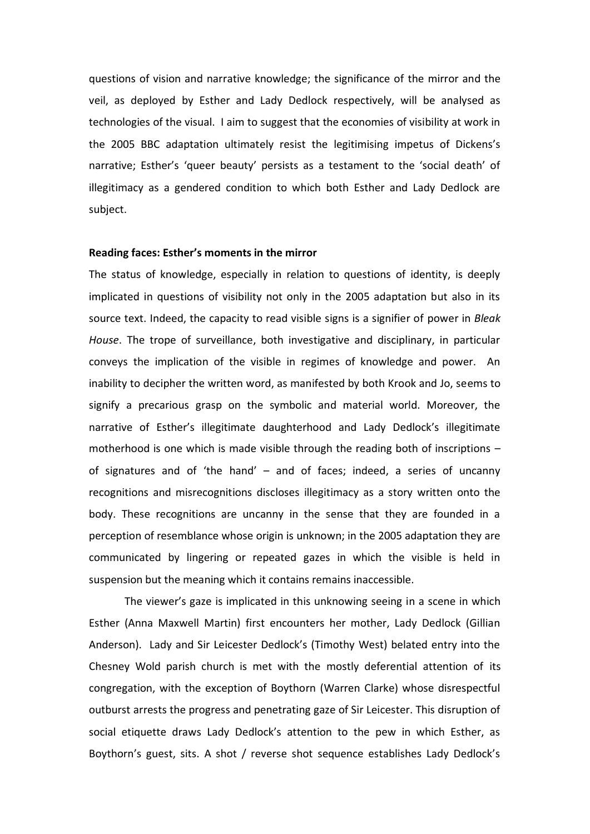questions of vision and narrative knowledge; the significance of the mirror and the veil, as deployed by Esther and Lady Dedlock respectively, will be analysed as technologies of the visual. I aim to suggest that the economies of visibility at work in the 2005 BBC adaptation ultimately resist the legitimising impetus of Dickens's narrative; Esther's 'queer beauty' persists as a testament to the 'social death' of illegitimacy as a gendered condition to which both Esther and Lady Dedlock are subject.

#### **Reading faces: Esther's moments in the mirror**

The status of knowledge, especially in relation to questions of identity, is deeply implicated in questions of visibility not only in the 2005 adaptation but also in its source text. Indeed, the capacity to read visible signs is a signifier of power in *Bleak House*. The trope of surveillance, both investigative and disciplinary, in particular conveys the implication of the visible in regimes of knowledge and power. An inability to decipher the written word, as manifested by both Krook and Jo, seems to signify a precarious grasp on the symbolic and material world. Moreover, the narrative of Esther's illegitimate daughterhood and Lady Dedlock's illegitimate motherhood is one which is made visible through the reading both of inscriptions – of signatures and of 'the hand' – and of faces; indeed, a series of uncanny recognitions and misrecognitions discloses illegitimacy as a story written onto the body. These recognitions are uncanny in the sense that they are founded in a perception of resemblance whose origin is unknown; in the 2005 adaptation they are communicated by lingering or repeated gazes in which the visible is held in suspension but the meaning which it contains remains inaccessible.

The viewer's gaze is implicated in this unknowing seeing in a scene in which Esther (Anna Maxwell Martin) first encounters her mother, Lady Dedlock (Gillian Anderson). Lady and Sir Leicester Dedlock's (Timothy West) belated entry into the Chesney Wold parish church is met with the mostly deferential attention of its congregation, with the exception of Boythorn (Warren Clarke) whose disrespectful outburst arrests the progress and penetrating gaze of Sir Leicester. This disruption of social etiquette draws Lady Dedlock's attention to the pew in which Esther, as Boythorn's guest, sits. A shot / reverse shot sequence establishes Lady Dedlock's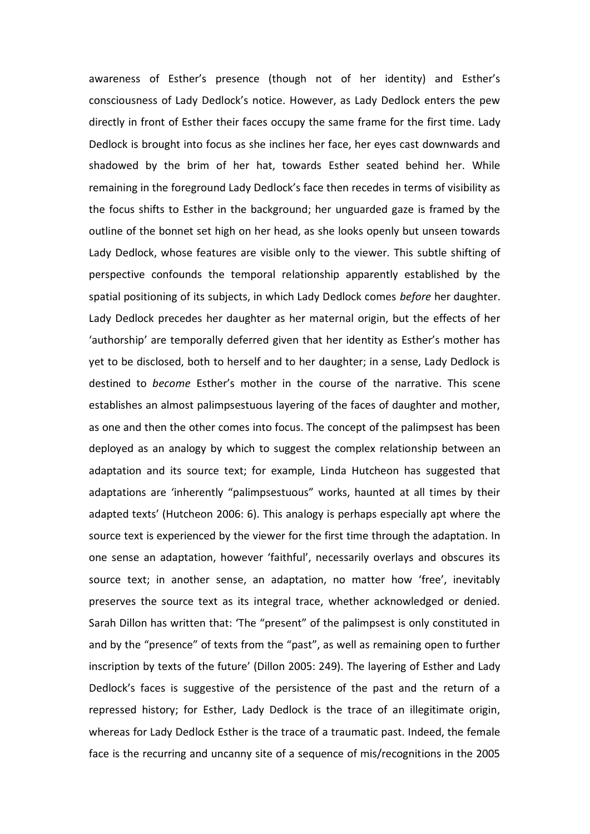awareness of Esther's presence (though not of her identity) and Esther's consciousness of Lady Dedlock's notice. However, as Lady Dedlock enters the pew directly in front of Esther their faces occupy the same frame for the first time. Lady Dedlock is brought into focus as she inclines her face, her eyes cast downwards and shadowed by the brim of her hat, towards Esther seated behind her. While remaining in the foreground Lady Dedlock's face then recedes in terms of visibility as the focus shifts to Esther in the background; her unguarded gaze is framed by the outline of the bonnet set high on her head, as she looks openly but unseen towards Lady Dedlock, whose features are visible only to the viewer. This subtle shifting of perspective confounds the temporal relationship apparently established by the spatial positioning of its subjects, in which Lady Dedlock comes *before* her daughter. Lady Dedlock precedes her daughter as her maternal origin, but the effects of her 'authorship' are temporally deferred given that her identity as Esther's mother has yet to be disclosed, both to herself and to her daughter; in a sense, Lady Dedlock is destined to *become* Esther's mother in the course of the narrative. This scene establishes an almost palimpsestuous layering of the faces of daughter and mother, as one and then the other comes into focus. The concept of the palimpsest has been deployed as an analogy by which to suggest the complex relationship between an adaptation and its source text; for example, Linda Hutcheon has suggested that adaptations are 'inherently "palimpsestuous" works, haunted at all times by their adapted texts' (Hutcheon 2006: 6). This analogy is perhaps especially apt where the source text is experienced by the viewer for the first time through the adaptation. In one sense an adaptation, however 'faithful', necessarily overlays and obscures its source text; in another sense, an adaptation, no matter how 'free', inevitably preserves the source text as its integral trace, whether acknowledged or denied. Sarah Dillon has written that: 'The "present" of the palimpsest is only constituted in and by the "presence" of texts from the "past", as well as remaining open to further inscription by texts of the future' (Dillon 2005: 249). The layering of Esther and Lady Dedlock's faces is suggestive of the persistence of the past and the return of a repressed history; for Esther, Lady Dedlock is the trace of an illegitimate origin, whereas for Lady Dedlock Esther is the trace of a traumatic past. Indeed, the female face is the recurring and uncanny site of a sequence of mis/recognitions in the 2005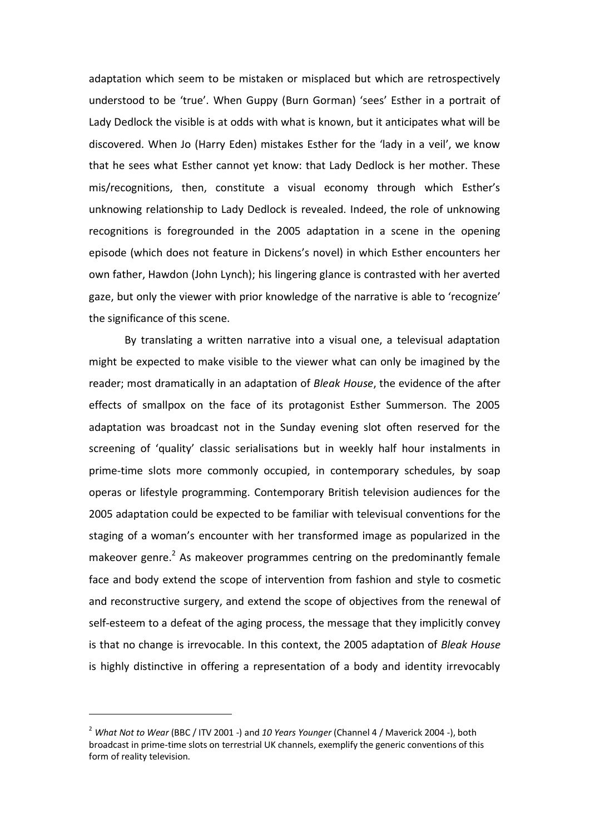adaptation which seem to be mistaken or misplaced but which are retrospectively understood to be 'true'. When Guppy (Burn Gorman) 'sees' Esther in a portrait of Lady Dedlock the visible is at odds with what is known, but it anticipates what will be discovered. When Jo (Harry Eden) mistakes Esther for the 'lady in a veil', we know that he sees what Esther cannot yet know: that Lady Dedlock is her mother. These mis/recognitions, then, constitute a visual economy through which Esther's unknowing relationship to Lady Dedlock is revealed. Indeed, the role of unknowing recognitions is foregrounded in the 2005 adaptation in a scene in the opening episode (which does not feature in Dickens's novel) in which Esther encounters her own father, Hawdon (John Lynch); his lingering glance is contrasted with her averted gaze, but only the viewer with prior knowledge of the narrative is able to 'recognize' the significance of this scene.

By translating a written narrative into a visual one, a televisual adaptation might be expected to make visible to the viewer what can only be imagined by the reader; most dramatically in an adaptation of *Bleak House*, the evidence of the after effects of smallpox on the face of its protagonist Esther Summerson. The 2005 adaptation was broadcast not in the Sunday evening slot often reserved for the screening of 'quality' classic serialisations but in weekly half hour instalments in prime-time slots more commonly occupied, in contemporary schedules, by soap operas or lifestyle programming. Contemporary British television audiences for the 2005 adaptation could be expected to be familiar with televisual conventions for the staging of a woman's encounter with her transformed image as popularized in the makeover genre.<sup>2</sup> As makeover programmes centring on the predominantly female face and body extend the scope of intervention from fashion and style to cosmetic and reconstructive surgery, and extend the scope of objectives from the renewal of self-esteem to a defeat of the aging process, the message that they implicitly convey is that no change is irrevocable. In this context, the 2005 adaptation of *Bleak House* is highly distinctive in offering a representation of a body and identity irrevocably

<sup>2</sup> *What Not to Wear* (BBC / ITV 2001 -) and *10 Years Younger* (Channel 4 / Maverick 2004 -), both broadcast in prime-time slots on terrestrial UK channels, exemplify the generic conventions of this form of reality television.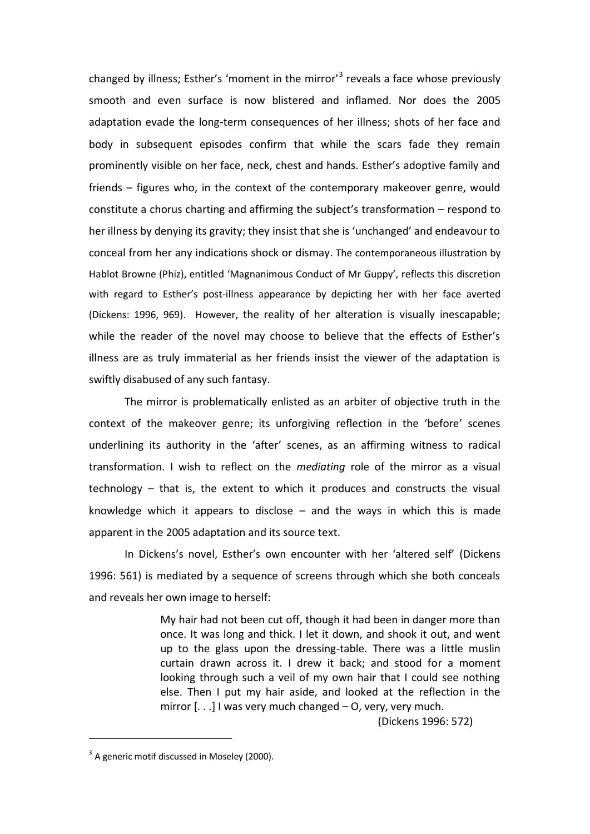changed by illness; Esther's 'moment in the mirror'<sup>3</sup> reveals a face whose previously smooth and even surface is now blistered and inflamed. Nor does the 2005 adaptation evade the long-term consequences of her illness; shots of her face and body in subsequent episodes confirm that while the scars fade they remain prominently visible on her face, neck, chest and hands. Esther's adoptive family and friends – figures who, in the context of the contemporary makeover genre, would constitute a chorus charting and affirming the subject's transformation – respond to her illness by denying its gravity; they insist that she is 'unchanged' and endeavour to conceal from her any indications shock or dismay. The contemporaneous illustration by Hablot Browne (Phiz), entitled 'Magnanimous Conduct of Mr Guppy', reflects this discretion with regard to Esther's post-illness appearance by depicting her with her face averted (Dickens: 1996, 969). However, the reality of her alteration is visually inescapable; while the reader of the novel may choose to believe that the effects of Esther's illness are as truly immaterial as her friends insist the viewer of the adaptation is swiftly disabused of any such fantasy.

The mirror is problematically enlisted as an arbiter of objective truth in the context of the makeover genre; its unforgiving reflection in the 'before' scenes underlining its authority in the 'after' scenes, as an affirming witness to radical transformation. I wish to reflect on the *mediating* role of the mirror as a visual technology – that is, the extent to which it produces and constructs the visual knowledge which it appears to disclose – and the ways in which this is made apparent in the 2005 adaptation and its source text.

In Dickens's novel, Esther's own encounter with her 'altered self' (Dickens 1996: 561) is mediated by a sequence of screens through which she both conceals and reveals her own image to herself:

> My hair had not been cut off, though it had been in danger more than once. It was long and thick. I let it down, and shook it out, and went up to the glass upon the dressing-table. There was a little muslin curtain drawn across it. I drew it back; and stood for a moment looking through such a veil of my own hair that I could see nothing else. Then I put my hair aside, and looked at the reflection in the mirror  $\left[ \ldots \right]$  I was very much changed  $-$  O, very, very much.

(Dickens 1996: 572)

 $\overline{a}$ 

 $^3$  A generic motif discussed in Moseley (2000).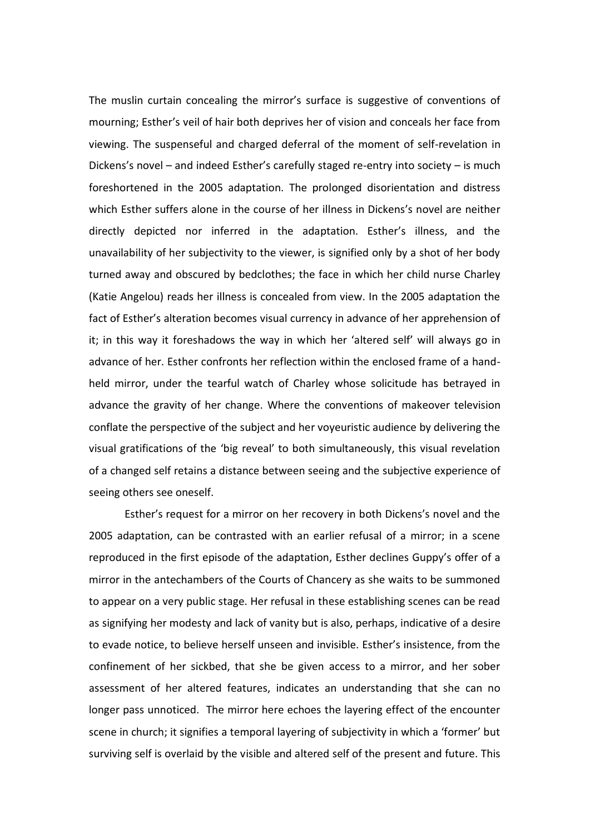The muslin curtain concealing the mirror's surface is suggestive of conventions of mourning; Esther's veil of hair both deprives her of vision and conceals her face from viewing. The suspenseful and charged deferral of the moment of self-revelation in Dickens's novel – and indeed Esther's carefully staged re-entry into society – is much foreshortened in the 2005 adaptation. The prolonged disorientation and distress which Esther suffers alone in the course of her illness in Dickens's novel are neither directly depicted nor inferred in the adaptation. Esther's illness, and the unavailability of her subjectivity to the viewer, is signified only by a shot of her body turned away and obscured by bedclothes; the face in which her child nurse Charley (Katie Angelou) reads her illness is concealed from view. In the 2005 adaptation the fact of Esther's alteration becomes visual currency in advance of her apprehension of it; in this way it foreshadows the way in which her 'altered self' will always go in advance of her. Esther confronts her reflection within the enclosed frame of a handheld mirror, under the tearful watch of Charley whose solicitude has betrayed in advance the gravity of her change. Where the conventions of makeover television conflate the perspective of the subject and her voyeuristic audience by delivering the visual gratifications of the 'big reveal' to both simultaneously, this visual revelation of a changed self retains a distance between seeing and the subjective experience of seeing others see oneself.

Esther's request for a mirror on her recovery in both Dickens's novel and the 2005 adaptation, can be contrasted with an earlier refusal of a mirror; in a scene reproduced in the first episode of the adaptation, Esther declines Guppy's offer of a mirror in the antechambers of the Courts of Chancery as she waits to be summoned to appear on a very public stage. Her refusal in these establishing scenes can be read as signifying her modesty and lack of vanity but is also, perhaps, indicative of a desire to evade notice, to believe herself unseen and invisible. Esther's insistence, from the confinement of her sickbed, that she be given access to a mirror, and her sober assessment of her altered features, indicates an understanding that she can no longer pass unnoticed. The mirror here echoes the layering effect of the encounter scene in church; it signifies a temporal layering of subjectivity in which a 'former' but surviving self is overlaid by the visible and altered self of the present and future. This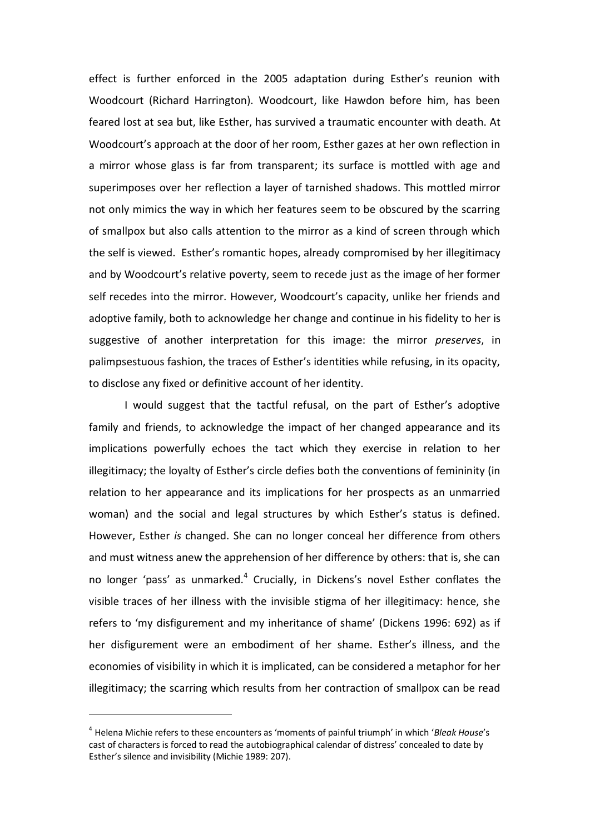effect is further enforced in the 2005 adaptation during Esther's reunion with Woodcourt (Richard Harrington). Woodcourt, like Hawdon before him, has been feared lost at sea but, like Esther, has survived a traumatic encounter with death. At Woodcourt's approach at the door of her room, Esther gazes at her own reflection in a mirror whose glass is far from transparent; its surface is mottled with age and superimposes over her reflection a layer of tarnished shadows. This mottled mirror not only mimics the way in which her features seem to be obscured by the scarring of smallpox but also calls attention to the mirror as a kind of screen through which the self is viewed. Esther's romantic hopes, already compromised by her illegitimacy and by Woodcourt's relative poverty, seem to recede just as the image of her former self recedes into the mirror. However, Woodcourt's capacity, unlike her friends and adoptive family, both to acknowledge her change and continue in his fidelity to her is suggestive of another interpretation for this image: the mirror *preserves*, in palimpsestuous fashion, the traces of Esther's identities while refusing, in its opacity, to disclose any fixed or definitive account of her identity.

I would suggest that the tactful refusal, on the part of Esther's adoptive family and friends, to acknowledge the impact of her changed appearance and its implications powerfully echoes the tact which they exercise in relation to her illegitimacy; the loyalty of Esther's circle defies both the conventions of femininity (in relation to her appearance and its implications for her prospects as an unmarried woman) and the social and legal structures by which Esther's status is defined. However, Esther *is* changed. She can no longer conceal her difference from others and must witness anew the apprehension of her difference by others: that is, she can no longer 'pass' as unmarked.<sup>4</sup> Crucially, in Dickens's novel Esther conflates the visible traces of her illness with the invisible stigma of her illegitimacy: hence, she refers to 'my disfigurement and my inheritance of shame' (Dickens 1996: 692) as if her disfigurement were an embodiment of her shame. Esther's illness, and the economies of visibility in which it is implicated, can be considered a metaphor for her illegitimacy; the scarring which results from her contraction of smallpox can be read

<sup>4</sup> Helena Michie refers to these encounters as 'moments of painful triumph' in which '*Bleak House*'s cast of characters is forced to read the autobiographical calendar of distress' concealed to date by Esther's silence and invisibility (Michie 1989: 207).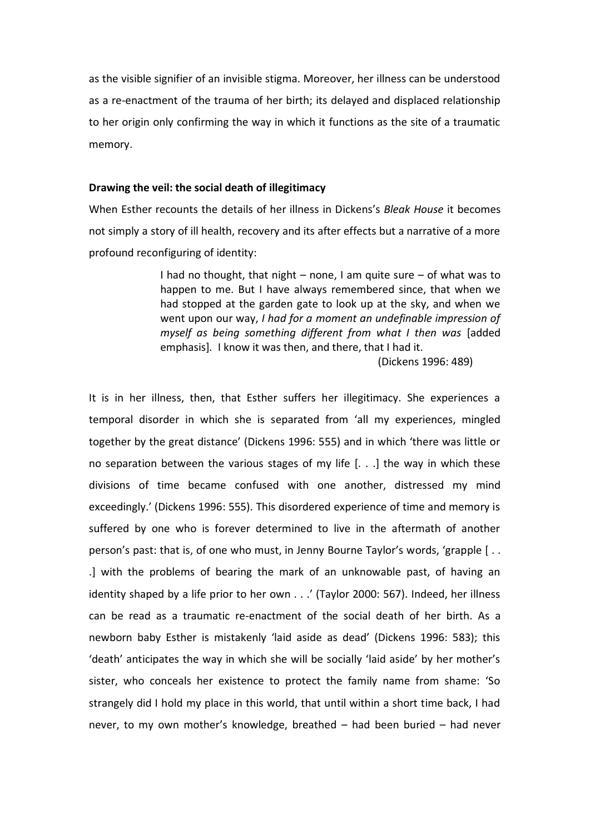as the visible signifier of an invisible stigma. Moreover, her illness can be understood as a re-enactment of the trauma of her birth; its delayed and displaced relationship to her origin only confirming the way in which it functions as the site of a traumatic memory.

# **Drawing the veil: the social death of illegitimacy**

When Esther recounts the details of her illness in Dickens's *Bleak House* it becomes not simply a story of ill health, recovery and its after effects but a narrative of a more profound reconfiguring of identity:

> I had no thought, that night – none, I am quite sure – of what was to happen to me. But I have always remembered since, that when we had stopped at the garden gate to look up at the sky, and when we went upon our way, *I had for a moment an undefinable impression of myself as being something different from what I then was* [added emphasis]*.* I know it was then, and there, that I had it.

> > (Dickens 1996: 489)

It is in her illness, then, that Esther suffers her illegitimacy. She experiences a temporal disorder in which she is separated from 'all my experiences, mingled together by the great distance' (Dickens 1996: 555) and in which 'there was little or no separation between the various stages of my life [. . .] the way in which these divisions of time became confused with one another, distressed my mind exceedingly.' (Dickens 1996: 555). This disordered experience of time and memory is suffered by one who is forever determined to live in the aftermath of another person's past: that is, of one who must, in Jenny Bourne Taylor's words, 'grapple  $\lceil \, \ldots \, \rceil$ .] with the problems of bearing the mark of an unknowable past, of having an identity shaped by a life prior to her own . . .' (Taylor 2000: 567). Indeed, her illness can be read as a traumatic re-enactment of the social death of her birth. As a newborn baby Esther is mistakenly 'laid aside as dead' (Dickens 1996: 583); this 'death' anticipates the way in which she will be socially 'laid aside' by her mother's sister, who conceals her existence to protect the family name from shame: 'So strangely did I hold my place in this world, that until within a short time back, I had never, to my own mother's knowledge, breathed – had been buried – had never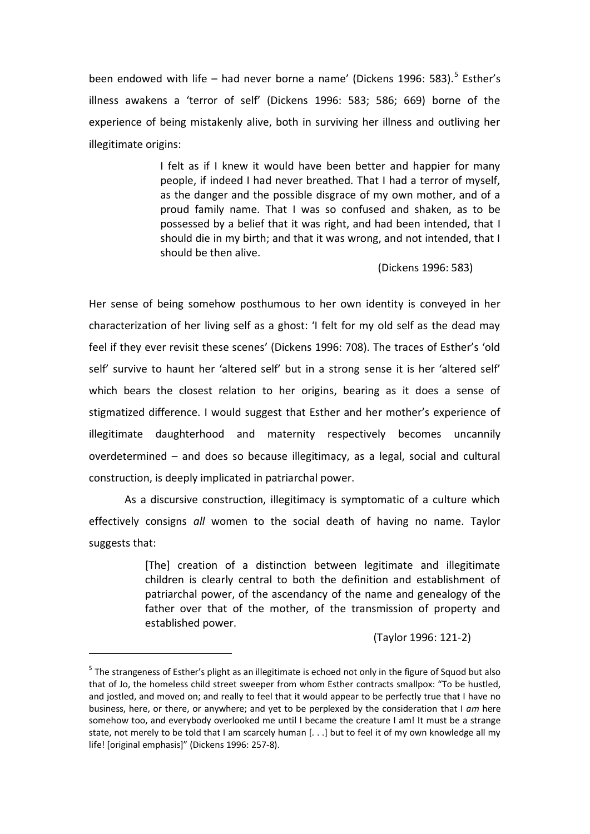been endowed with life – had never borne a name' (Dickens 1996: 583).<sup>5</sup> Esther's illness awakens a 'terror of self' (Dickens 1996: 583; 586; 669) borne of the experience of being mistakenly alive, both in surviving her illness and outliving her illegitimate origins:

> I felt as if I knew it would have been better and happier for many people, if indeed I had never breathed. That I had a terror of myself, as the danger and the possible disgrace of my own mother, and of a proud family name. That I was so confused and shaken, as to be possessed by a belief that it was right, and had been intended, that I should die in my birth; and that it was wrong, and not intended, that I should be then alive.

> > (Dickens 1996: 583)

Her sense of being somehow posthumous to her own identity is conveyed in her characterization of her living self as a ghost: 'I felt for my old self as the dead may feel if they ever revisit these scenes' (Dickens 1996: 708). The traces of Esther's 'old self' survive to haunt her 'altered self' but in a strong sense it is her 'altered self' which bears the closest relation to her origins, bearing as it does a sense of stigmatized difference. I would suggest that Esther and her mother's experience of illegitimate daughterhood and maternity respectively becomes uncannily overdetermined – and does so because illegitimacy, as a legal, social and cultural construction, is deeply implicated in patriarchal power.

As a discursive construction, illegitimacy is symptomatic of a culture which effectively consigns *all* women to the social death of having no name. Taylor suggests that:

> [The] creation of a distinction between legitimate and illegitimate children is clearly central to both the definition and establishment of patriarchal power, of the ascendancy of the name and genealogy of the father over that of the mother, of the transmission of property and established power.

> > (Taylor 1996: 121-2)

<sup>&</sup>lt;sup>5</sup> The strangeness of Esther's plight as an illegitimate is echoed not only in the figure of Squod but also that of Jo, the homeless child street sweeper from whom Esther contracts smallpox: "To be hustled, and jostled, and moved on; and really to feel that it would appear to be perfectly true that I have no business, here, or there, or anywhere; and yet to be perplexed by the consideration that I *am* here somehow too, and everybody overlooked me until I became the creature I am! It must be a strange state, not merely to be told that I am scarcely human [. . .] but to feel it of my own knowledge all my life! [original emphasis]" (Dickens 1996: 257-8).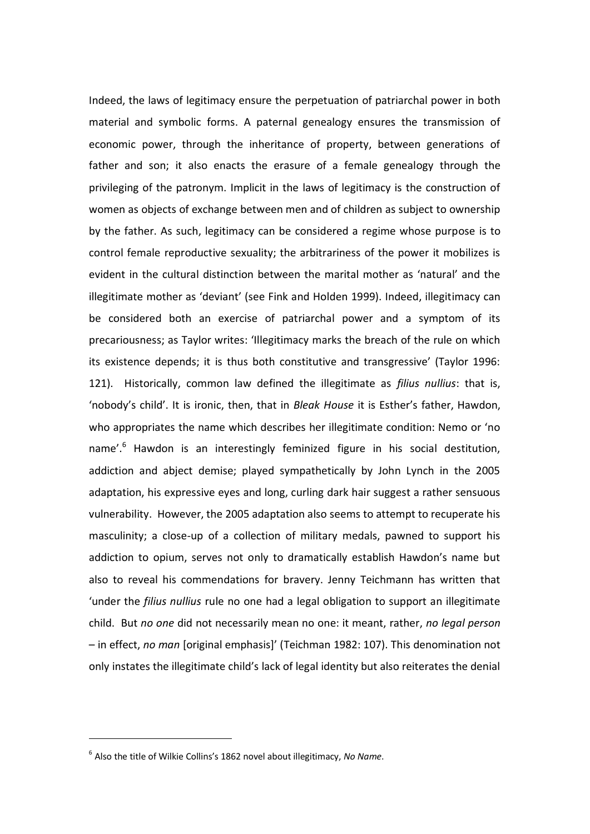Indeed, the laws of legitimacy ensure the perpetuation of patriarchal power in both material and symbolic forms. A paternal genealogy ensures the transmission of economic power, through the inheritance of property, between generations of father and son; it also enacts the erasure of a female genealogy through the privileging of the patronym. Implicit in the laws of legitimacy is the construction of women as objects of exchange between men and of children as subject to ownership by the father. As such, legitimacy can be considered a regime whose purpose is to control female reproductive sexuality; the arbitrariness of the power it mobilizes is evident in the cultural distinction between the marital mother as 'natural' and the illegitimate mother as 'deviant' (see Fink and Holden 1999). Indeed, illegitimacy can be considered both an exercise of patriarchal power and a symptom of its precariousness; as Taylor writes: 'Illegitimacy marks the breach of the rule on which its existence depends; it is thus both constitutive and transgressive' (Taylor 1996: 121). Historically, common law defined the illegitimate as *filius nullius*: that is, 'nobody's child'. It is ironic, then, that in *Bleak House* it is Esther's father, Hawdon, who appropriates the name which describes her illegitimate condition: Nemo or 'no name'.<sup>6</sup> Hawdon is an interestingly feminized figure in his social destitution, addiction and abject demise; played sympathetically by John Lynch in the 2005 adaptation, his expressive eyes and long, curling dark hair suggest a rather sensuous vulnerability. However, the 2005 adaptation also seems to attempt to recuperate his masculinity; a close-up of a collection of military medals, pawned to support his addiction to opium, serves not only to dramatically establish Hawdon's name but also to reveal his commendations for bravery. Jenny Teichmann has written that 'under the *filius nullius* rule no one had a legal obligation to support an illegitimate child. But *no one* did not necessarily mean no one: it meant, rather, *no legal person* – in effect, *no man* [original emphasis]' (Teichman 1982: 107). This denomination not only instates the illegitimate child's lack of legal identity but also reiterates the denial

 $\overline{a}$ 

<sup>6</sup> Also the title of Wilkie Collins's 1862 novel about illegitimacy, *No Name*.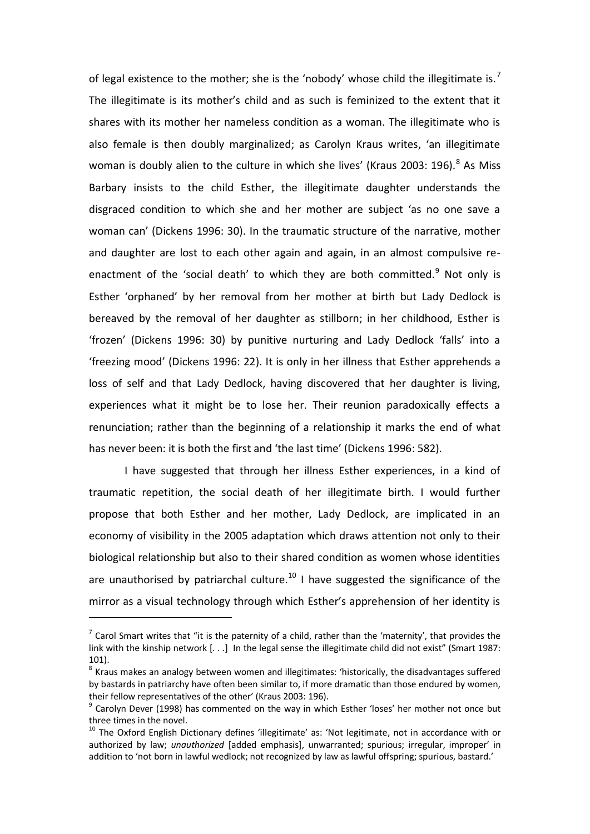of legal existence to the mother; she is the 'nobody' whose child the illegitimate is.<sup>7</sup> The illegitimate is its mother's child and as such is feminized to the extent that it shares with its mother her nameless condition as a woman. The illegitimate who is also female is then doubly marginalized; as Carolyn Kraus writes, 'an illegitimate woman is doubly alien to the culture in which she lives' (Kraus 2003: 196). $^8$  As Miss Barbary insists to the child Esther, the illegitimate daughter understands the disgraced condition to which she and her mother are subject 'as no one save a woman can' (Dickens 1996: 30). In the traumatic structure of the narrative, mother and daughter are lost to each other again and again, in an almost compulsive reenactment of the 'social death' to which they are both committed.<sup>9</sup> Not only is Esther 'orphaned' by her removal from her mother at birth but Lady Dedlock is bereaved by the removal of her daughter as stillborn; in her childhood, Esther is 'frozen' (Dickens 1996: 30) by punitive nurturing and Lady Dedlock 'falls' into a 'freezing mood' (Dickens 1996: 22). It is only in her illness that Esther apprehends a loss of self and that Lady Dedlock, having discovered that her daughter is living, experiences what it might be to lose her. Their reunion paradoxically effects a renunciation; rather than the beginning of a relationship it marks the end of what has never been: it is both the first and 'the last time' (Dickens 1996: 582).

I have suggested that through her illness Esther experiences, in a kind of traumatic repetition, the social death of her illegitimate birth. I would further propose that both Esther and her mother, Lady Dedlock, are implicated in an economy of visibility in the 2005 adaptation which draws attention not only to their biological relationship but also to their shared condition as women whose identities are unauthorised by patriarchal culture.<sup>10</sup> I have suggested the significance of the mirror as a visual technology through which Esther's apprehension of her identity is

 $^7$  Carol Smart writes that "it is the paternity of a child, rather than the 'maternity', that provides the link with the kinship network [. . .] In the legal sense the illegitimate child did not exist" (Smart 1987: 101).

 $^8$  Kraus makes an analogy between women and illegitimates: 'historically, the disadvantages suffered by bastards in patriarchy have often been similar to, if more dramatic than those endured by women, their fellow representatives of the other' (Kraus 2003: 196).

 $<sup>9</sup>$  Carolyn Dever (1998) has commented on the way in which Esther 'loses' her mother not once but</sup> three times in the novel.

<sup>&</sup>lt;sup>10</sup> The Oxford English Dictionary defines 'illegitimate' as: 'Not legitimate, not in accordance with or authorized by law; *unauthorized* [added emphasis], unwarranted; spurious; irregular, improper' in addition to 'not born in lawful wedlock; not recognized by law as lawful offspring; spurious, bastard.'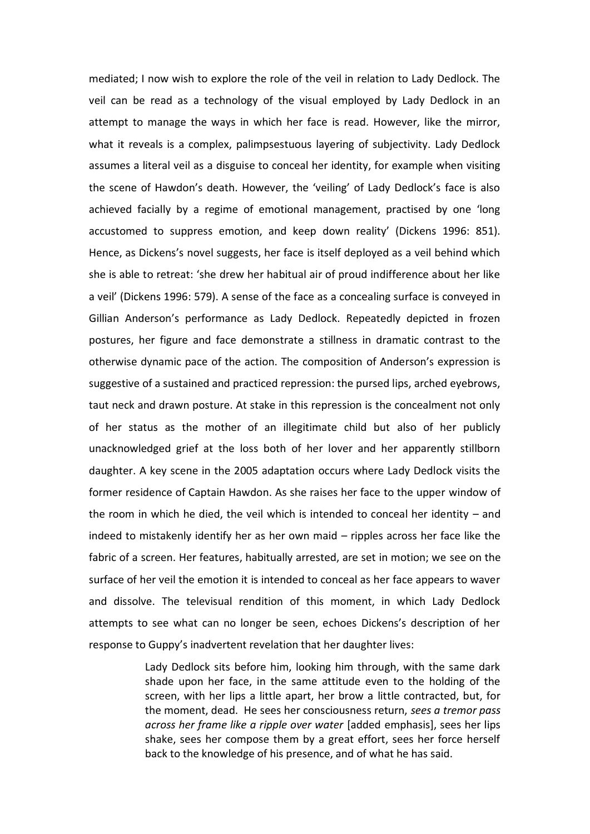mediated; I now wish to explore the role of the veil in relation to Lady Dedlock. The veil can be read as a technology of the visual employed by Lady Dedlock in an attempt to manage the ways in which her face is read. However, like the mirror, what it reveals is a complex, palimpsestuous layering of subjectivity. Lady Dedlock assumes a literal veil as a disguise to conceal her identity, for example when visiting the scene of Hawdon's death. However, the 'veiling' of Lady Dedlock's face is also achieved facially by a regime of emotional management, practised by one 'long accustomed to suppress emotion, and keep down reality' (Dickens 1996: 851). Hence, as Dickens's novel suggests, her face is itself deployed as a veil behind which she is able to retreat: 'she drew her habitual air of proud indifference about her like a veil' (Dickens 1996: 579). A sense of the face as a concealing surface is conveyed in Gillian Anderson's performance as Lady Dedlock. Repeatedly depicted in frozen postures, her figure and face demonstrate a stillness in dramatic contrast to the otherwise dynamic pace of the action. The composition of Anderson's expression is suggestive of a sustained and practiced repression: the pursed lips, arched eyebrows, taut neck and drawn posture. At stake in this repression is the concealment not only of her status as the mother of an illegitimate child but also of her publicly unacknowledged grief at the loss both of her lover and her apparently stillborn daughter. A key scene in the 2005 adaptation occurs where Lady Dedlock visits the former residence of Captain Hawdon. As she raises her face to the upper window of the room in which he died, the veil which is intended to conceal her identity  $-$  and indeed to mistakenly identify her as her own maid – ripples across her face like the fabric of a screen. Her features, habitually arrested, are set in motion; we see on the surface of her veil the emotion it is intended to conceal as her face appears to waver and dissolve. The televisual rendition of this moment, in which Lady Dedlock attempts to see what can no longer be seen, echoes Dickens's description of her response to Guppy's inadvertent revelation that her daughter lives:

> Lady Dedlock sits before him, looking him through, with the same dark shade upon her face, in the same attitude even to the holding of the screen, with her lips a little apart, her brow a little contracted, but, for the moment, dead. He sees her consciousness return, *sees a tremor pass across her frame like a ripple over water* [added emphasis], sees her lips shake, sees her compose them by a great effort, sees her force herself back to the knowledge of his presence, and of what he has said.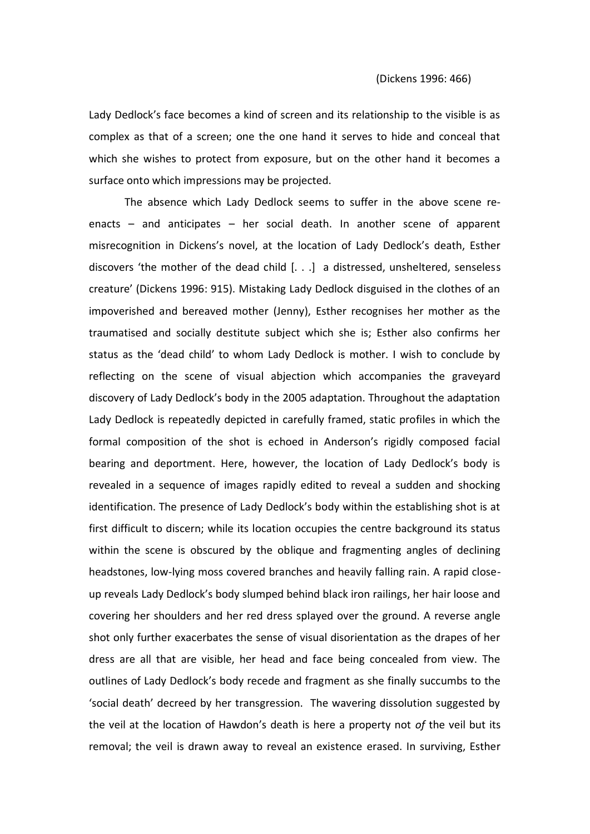Lady Dedlock's face becomes a kind of screen and its relationship to the visible is as complex as that of a screen; one the one hand it serves to hide and conceal that which she wishes to protect from exposure, but on the other hand it becomes a surface onto which impressions may be projected.

The absence which Lady Dedlock seems to suffer in the above scene reenacts – and anticipates – her social death. In another scene of apparent misrecognition in Dickens's novel, at the location of Lady Dedlock's death, Esther discovers 'the mother of the dead child  $[...]$  a distressed, unsheltered, senseless creature' (Dickens 1996: 915). Mistaking Lady Dedlock disguised in the clothes of an impoverished and bereaved mother (Jenny), Esther recognises her mother as the traumatised and socially destitute subject which she is; Esther also confirms her status as the 'dead child' to whom Lady Dedlock is mother. I wish to conclude by reflecting on the scene of visual abjection which accompanies the graveyard discovery of Lady Dedlock's body in the 2005 adaptation. Throughout the adaptation Lady Dedlock is repeatedly depicted in carefully framed, static profiles in which the formal composition of the shot is echoed in Anderson's rigidly composed facial bearing and deportment. Here, however, the location of Lady Dedlock's body is revealed in a sequence of images rapidly edited to reveal a sudden and shocking identification. The presence of Lady Dedlock's body within the establishing shot is at first difficult to discern; while its location occupies the centre background its status within the scene is obscured by the oblique and fragmenting angles of declining headstones, low-lying moss covered branches and heavily falling rain. A rapid closeup reveals Lady Dedlock's body slumped behind black iron railings, her hair loose and covering her shoulders and her red dress splayed over the ground. A reverse angle shot only further exacerbates the sense of visual disorientation as the drapes of her dress are all that are visible, her head and face being concealed from view. The outlines of Lady Dedlock's body recede and fragment as she finally succumbs to the 'social death' decreed by her transgression. The wavering dissolution suggested by the veil at the location of Hawdon's death is here a property not *of* the veil but its removal; the veil is drawn away to reveal an existence erased. In surviving, Esther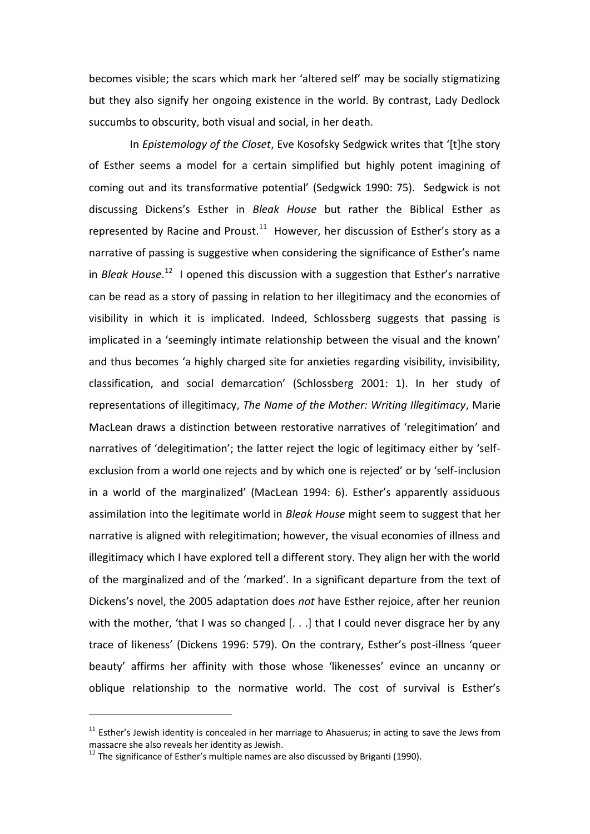becomes visible; the scars which mark her 'altered self' may be socially stigmatizing but they also signify her ongoing existence in the world. By contrast, Lady Dedlock succumbs to obscurity, both visual and social, in her death.

In *Epistemology of the Closet*, Eve Kosofsky Sedgwick writes that '[t]he story of Esther seems a model for a certain simplified but highly potent imagining of coming out and its transformative potential' (Sedgwick 1990: 75). Sedgwick is not discussing Dickens's Esther in *Bleak House* but rather the Biblical Esther as represented by Racine and Proust. $^{11}$  However, her discussion of Esther's story as a narrative of passing is suggestive when considering the significance of Esther's name in *Bleak House*.<sup>12</sup> I opened this discussion with a suggestion that Esther's narrative can be read as a story of passing in relation to her illegitimacy and the economies of visibility in which it is implicated. Indeed, Schlossberg suggests that passing is implicated in a 'seemingly intimate relationship between the visual and the known' and thus becomes 'a highly charged site for anxieties regarding visibility, invisibility, classification, and social demarcation' (Schlossberg 2001: 1). In her study of representations of illegitimacy, *The Name of the Mother: Writing Illegitimacy*, Marie MacLean draws a distinction between restorative narratives of 'relegitimation' and narratives of 'delegitimation'; the latter reject the logic of legitimacy either by 'selfexclusion from a world one rejects and by which one is rejected' or by 'self-inclusion in a world of the marginalized' (MacLean 1994: 6). Esther's apparently assiduous assimilation into the legitimate world in *Bleak House* might seem to suggest that her narrative is aligned with relegitimation; however, the visual economies of illness and illegitimacy which I have explored tell a different story. They align her with the world of the marginalized and of the 'marked'. In a significant departure from the text of Dickens's novel, the 2005 adaptation does *not* have Esther rejoice, after her reunion with the mother, 'that I was so changed  $[...]$  that I could never disgrace her by any trace of likeness' (Dickens 1996: 579). On the contrary, Esther's post-illness 'queer beauty' affirms her affinity with those whose 'likenesses' evince an uncanny or oblique relationship to the normative world. The cost of survival is Esther's

 $11$  Esther's Jewish identity is concealed in her marriage to Ahasuerus; in acting to save the Jews from massacre she also reveals her identity as Jewish.

 $12$  The significance of Esther's multiple names are also discussed by Briganti (1990).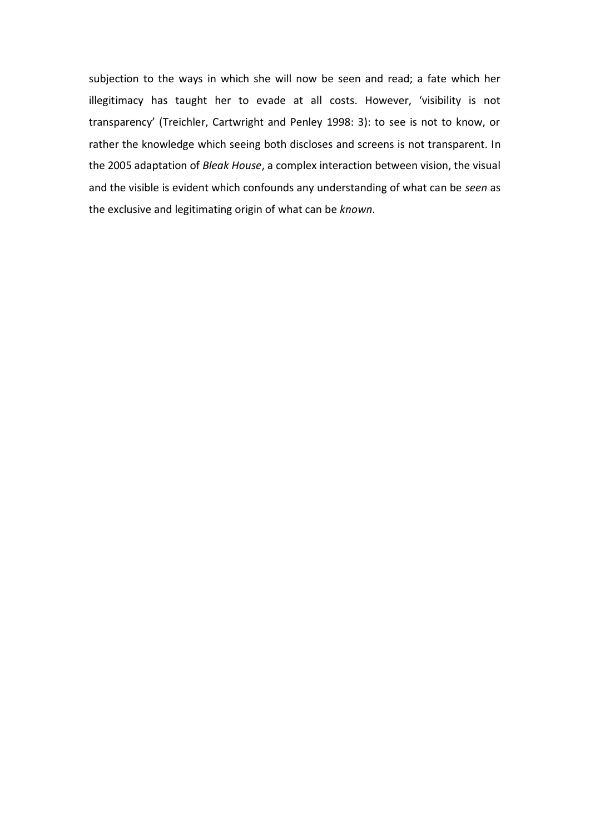subjection to the ways in which she will now be seen and read; a fate which her illegitimacy has taught her to evade at all costs. However, 'visibility is not transparency' (Treichler, Cartwright and Penley 1998: 3): to see is not to know, or rather the knowledge which seeing both discloses and screens is not transparent. In the 2005 adaptation of *Bleak House*, a complex interaction between vision, the visual and the visible is evident which confounds any understanding of what can be *seen* as the exclusive and legitimating origin of what can be *known*.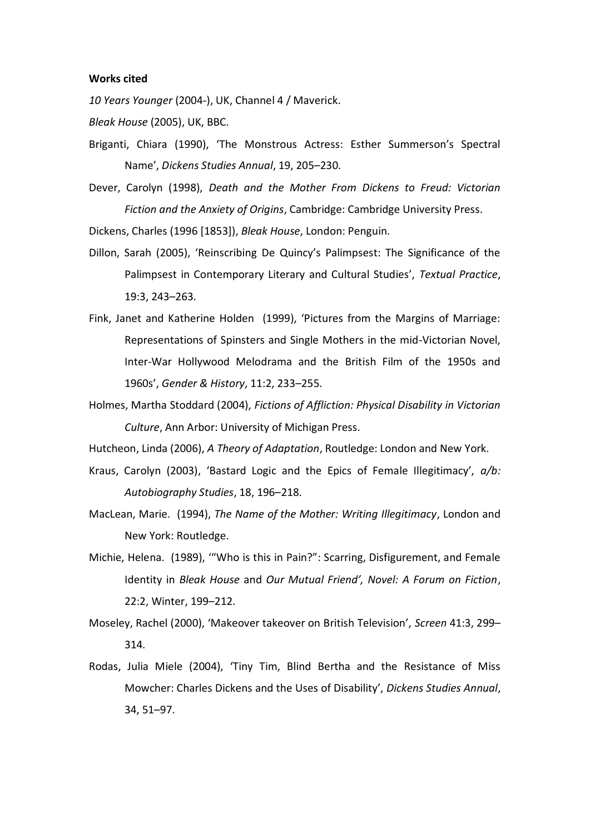#### **Works cited**

*10 Years Younger* (2004-), UK, Channel 4 / Maverick.

*Bleak House* (2005), UK, BBC.

- Briganti, Chiara (1990), 'The Monstrous Actress: Esther Summerson's Spectral Name', *Dickens Studies Annual*, 19, 205–230.
- Dever, Carolyn (1998), *Death and the Mother From Dickens to Freud: Victorian Fiction and the Anxiety of Origins*, Cambridge: Cambridge University Press.

Dickens, Charles (1996 [1853]), *Bleak House*, London: Penguin.

- Dillon, Sarah (2005), 'Reinscribing De Quincy's Palimpsest: The Significance of the Palimpsest in Contemporary Literary and Cultural Studies', *Textual Practice*, 19:3, 243–263.
- Fink, Janet and Katherine Holden (1999), 'Pictures from the Margins of Marriage: Representations of Spinsters and Single Mothers in the mid-Victorian Novel, Inter-War Hollywood Melodrama and the British Film of the 1950s and 1960s', *Gender & History*, 11:2, 233–255.
- Holmes, Martha Stoddard (2004), *Fictions of Affliction: Physical Disability in Victorian Culture*, Ann Arbor: University of Michigan Press.

Hutcheon, Linda (2006), *A Theory of Adaptation*, Routledge: London and New York.

- Kraus, Carolyn (2003), 'Bastard Logic and the Epics of Female Illegitimacy', *a/b: Autobiography Studies*, 18, 196–218.
- MacLean, Marie. (1994), *The Name of the Mother: Writing Illegitimacy*, London and New York: Routledge.
- Michie, Helena. (1989), '"Who is this in Pain?": Scarring, Disfigurement, and Female Identity in *Bleak House* and *Our Mutual Friend', Novel: A Forum on Fiction*, 22:2, Winter, 199–212.
- Moseley, Rachel (2000), 'Makeover takeover on British Television', *Screen* 41:3, 299– 314.
- Rodas, Julia Miele (2004), 'Tiny Tim, Blind Bertha and the Resistance of Miss Mowcher: Charles Dickens and the Uses of Disability', *Dickens Studies Annual*, 34, 51–97.